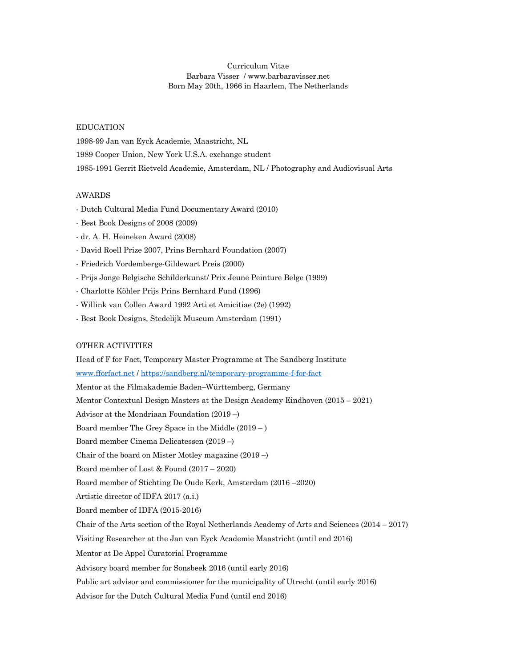# Curriculum Vitae Barbara Visser / www.barbaravisser.net Born May 20th, 1966 in Haarlem, The Netherlands

## EDUCATION

1998-99 Jan van Eyck Academie, Maastricht, NL 1989 Cooper Union, New York U.S.A. exchange student 1985-1991 Gerrit Rietveld Academie, Amsterdam, NL / Photography and Audiovisual Arts

## AWARDS

- Dutch Cultural Media Fund Documentary Award (2010)

- Best Book Designs of 2008 (2009)
- dr. A. H. Heineken Award (2008)
- David Roell Prize 2007, Prins Bernhard Foundation (2007)
- Friedrich Vordemberge-Gildewart Preis (2000)
- Prijs Jonge Belgische Schilderkunst/ Prix Jeune Peinture Belge (1999)
- Charlotte Köhler Prijs Prins Bernhard Fund (1996)
- Willink van Collen Award 1992 Arti et Amicitiae (2e) (1992)
- Best Book Designs, Stedelijk Museum Amsterdam (1991)

### OTHER ACTIVITIES

Head of F for Fact, Temporary Master Programme at The Sandberg Institute www.fforfact.net / https://sandberg.nl/temporary-programme-f-for-fact Mentor at the Filmakademie Baden–Württemberg, Germany Mentor Contextual Design Masters at the Design Academy Eindhoven (2015 – 2021) Advisor at the Mondriaan Foundation (2019 –) Board member The Grey Space in the Middle (2019 – ) Board member Cinema Delicatessen (2019 –) Chair of the board on Mister Motley magazine (2019 –) Board member of Lost & Found (2017 – 2020) Board member of Stichting De Oude Kerk, Amsterdam (2016 –2020) Artistic director of IDFA 2017 (a.i.) Board member of IDFA (2015-2016) Chair of the Arts section of the Royal Netherlands Academy of Arts and Sciences (2014 – 2017) Visiting Researcher at the Jan van Eyck Academie Maastricht (until end 2016) Mentor at De Appel Curatorial Programme Advisory board member for Sonsbeek 2016 (until early 2016) Public art advisor and commissioner for the municipality of Utrecht (until early 2016) Advisor for the Dutch Cultural Media Fund (until end 2016)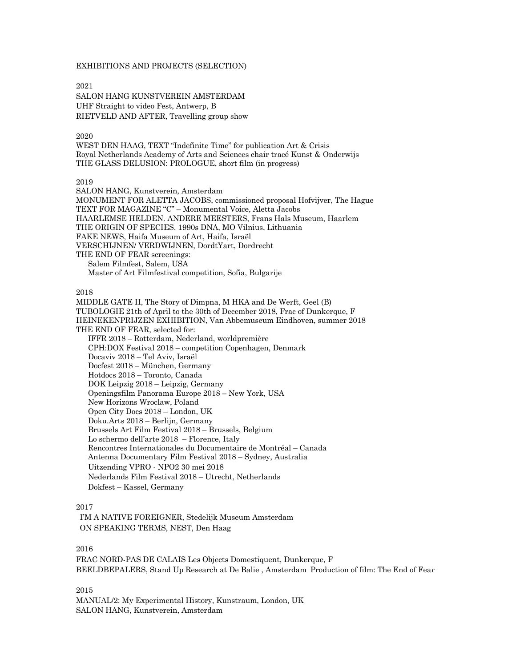### EXHIBITIONS AND PROJECTS (SELECTION)

2021 SALON HANG KUNSTVEREIN AMSTERDAM UHF Straight to video Fest, Antwerp, B RIETVELD AND AFTER, Travelling group show

2020

WEST DEN HAAG, TEXT "Indefinite Time" for publication Art & Crisis Royal Netherlands Academy of Arts and Sciences chair tracé Kunst & Onderwijs THE GLASS DELUSION: PROLOGUE, short film (in progress)

2019

SALON HANG, Kunstverein, Amsterdam MONUMENT FOR ALETTA JACOBS, commissioned proposal Hofvijver, The Hague TEXT FOR MAGAZINE "C" – Monumental Voice, Aletta Jacobs HAARLEMSE HELDEN. ANDERE MEESTERS, Frans Hals Museum, Haarlem THE ORIGIN OF SPECIES. 1990s DNA, MO Vilnius, Lithuania FAKE NEWS, Haifa Museum of Art, Haifa, Israël VERSCHIJNEN/ VERDWIJNEN, DordtYart, Dordrecht THE END OF FEAR screenings: Salem Filmfest, Salem, USA Master of Art Filmfestival competition, Sofia, Bulgarije

2018

MIDDLE GATE II, The Story of Dimpna, M HKA and De Werft, Geel (B) TUBOLOGIE 21th of April to the 30th of December 2018, Frac of Dunkerque, F HEINEKENPRIJZEN EXHIBITION, Van Abbemuseum Eindhoven, summer 2018 THE END OF FEAR, selected for: IFFR 2018 – Rotterdam, Nederland, worldpremière CPH:DOX Festival 2018 – competition Copenhagen, Denmark Docaviv 2018 – Tel Aviv, Israël Docfest 2018 – München, Germany Hotdocs 2018 – Toronto, Canada DOK Leipzig 2018 – Leipzig, Germany Openingsfilm Panorama Europe 2018 – New York, USA New Horizons Wroclaw, Poland Open City Docs 2018 – London, UK Doku.Arts 2018 – Berlijn, Germany Brussels Art Film Festival 2018 – Brussels, Belgium Lo schermo dell'arte 2018 – Florence, Italy Rencontres Internationales du Documentaire de Montréal – Canada Antenna Documentary Film Festival 2018 – Sydney, Australia Uitzending VPRO - NPO2 30 mei 2018 Nederlands Film Festival 2018 – Utrecht, Netherlands Dokfest – Kassel, Germany

# 2017

I'M A NATIVE FOREIGNER, Stedelijk Museum Amsterdam ON SPEAKING TERMS, NEST, Den Haag

### 2016

FRAC NORD-PAS DE CALAIS Les Objects Domestiquent, Dunkerque, F BEELDBEPALERS, Stand Up Research at De Balie , Amsterdam Production of film: The End of Fear

2015

MANUAL/2: My Experimental History, Kunstraum, London, UK SALON HANG, Kunstverein, Amsterdam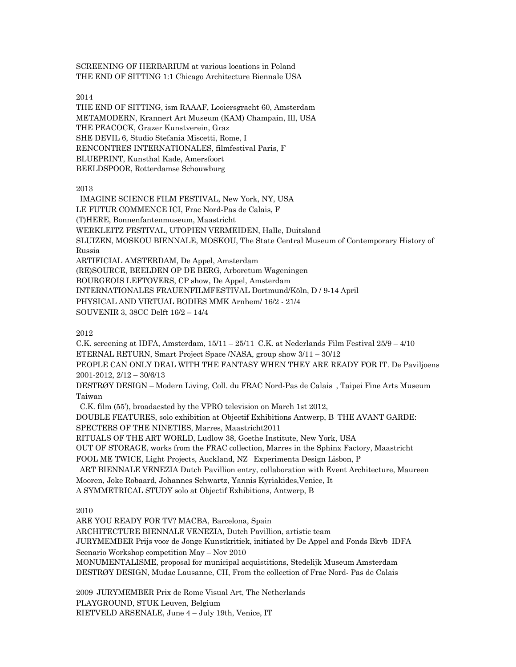SCREENING OF HERBARIUM at various locations in Poland THE END OF SITTING 1:1 Chicago Architecture Biennale USA

2014

THE END OF SITTING, ism RAAAF, Looiersgracht 60, Amsterdam METAMODERN, Krannert Art Museum (KAM) Champain, Ill, USA THE PEACOCK, Grazer Kunstverein, Graz SHE DEVIL 6, Studio Stefania Miscetti, Rome, I RENCONTRES INTERNATIONALES, filmfestival Paris, F BLUEPRINT, Kunsthal Kade, Amersfoort BEELDSPOOR, Rotterdamse Schouwburg

2013

IMAGINE SCIENCE FILM FESTIVAL, New York, NY, USA LE FUTUR COMMENCE ICI, Frac Nord-Pas de Calais, F (T)HERE, Bonnenfantenmuseum, Maastricht WERKLEITZ FESTIVAL, UTOPIEN VERMEIDEN, Halle, Duitsland SLUIZEN, MOSKOU BIENNALE, MOSKOU, The State Central Museum of Contemporary History of Russia ARTIFICIAL AMSTERDAM, De Appel, Amsterdam (RE)SOURCE, BEELDEN OP DE BERG, Arboretum Wageningen BOURGEOIS LEFTOVERS, CP show, De Appel, Amsterdam INTERNATIONALES FRAUENFILMFESTIVAL Dortmund/Köln, D / 9-14 April PHYSICAL AND VIRTUAL BODIES MMK Arnhem/ 16/2 - 21/4 SOUVENIR 3, 38CC Delft 16/2 – 14/4

2012

C.K. screening at IDFA, Amsterdam, 15/11 – 25/11 C.K. at Nederlands Film Festival 25/9 – 4/10 ETERNAL RETURN, Smart Project Space /NASA, group show 3/11 – 30/12 PEOPLE CAN ONLY DEAL WITH THE FANTASY WHEN THEY ARE READY FOR IT. De Paviljoens

2001-2012, 2/12 – 30/6/13

DESTRØY DESIGN – Modern Living, Coll. du FRAC Nord-Pas de Calais , Taipei Fine Arts Museum Taiwan

C.K. film (55'), broadacsted by the VPRO television on March 1st 2012,

DOUBLE FEATURES, solo exhibition at Objectif Exhibitions Antwerp, B THE AVANT GARDE: SPECTERS OF THE NINETIES, Marres, Maastricht2011

RITUALS OF THE ART WORLD, Ludlow 38, Goethe Institute, New York, USA

OUT OF STORAGE, works from the FRAC collection, Marres in the Sphinx Factory, Maastricht

FOOL ME TWICE, Light Projects, Auckland, NZ Experimenta Design Lisbon, P

ART BIENNALE VENEZIA Dutch Pavillion entry, collaboration with Event Architecture, Maureen Mooren, Joke Robaard, Johannes Schwartz, Yannis Kyriakides,Venice, It A SYMMETRICAL STUDY solo at Objectif Exhibitions, Antwerp, B

2010

ARE YOU READY FOR TV? MACBA, Barcelona, Spain ARCHITECTURE BIENNALE VENEZIA, Dutch Pavillion, artistic team JURYMEMBER Prijs voor de Jonge Kunstkritiek, initiated by De Appel and Fonds Bkvb IDFA Scenario Workshop competition May – Nov 2010 MONUMENTALISME, proposal for municipal acquistitions, Stedelijk Museum Amsterdam DESTRØY DESIGN, Mudac Lausanne, CH, From the collection of Frac Nord- Pas de Calais

2009 JURYMEMBER Prix de Rome Visual Art, The Netherlands PLAYGROUND, STUK Leuven, Belgium RIETVELD ARSENALE, June 4 – July 19th, Venice, IT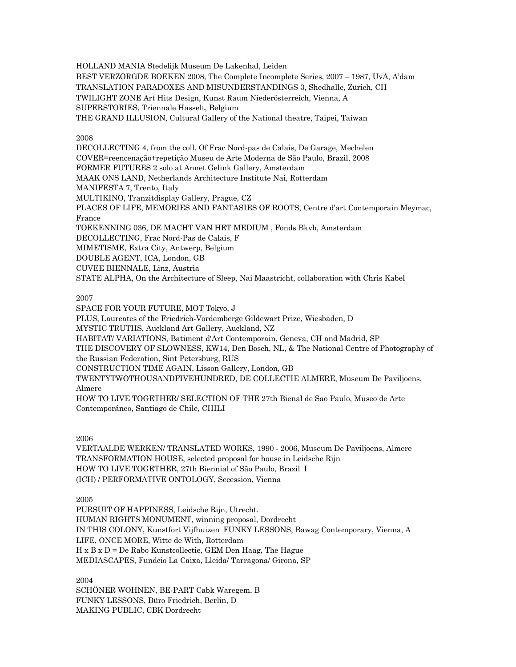HOLLAND MANIA Stedelijk Museum De Lakenhal, Leiden BEST VERZORGDE BOEKEN 2008, The Complete Incomplete Series, 2007 – 1987, UvA, A'dam TRANSLATION PARADOXES AND MISUNDERSTANDINGS 3, Shedhalle, Zürich, CH TWILIGHT ZONE Art Hits Design, Kunst Raum Niederösterreich, Vienna, A SUPERSTORIES, Triennale Hasselt, Belgium THE GRAND ILLUSION, Cultural Gallery of the National theatre, Taipei, Taiwan

2008

DECOLLECTING 4, from the coll. Of Frac Nord-pas de Calais, De Garage, Mechelen COVER=reencenação+repetição Museu de Arte Moderna de São Paulo, Brazil, 2008 FORMER FUTURES 2 solo at Annet Gelink Gallery, Amsterdam MAAK ONS LAND, Netherlands Architecture Institute Nai, Rotterdam MANIFESTA 7, Trento, Italy MULTIKINO, Tranzitdisplay Gallery, Prague, CZ PLACES OF LIFE, MEMORIES AND FANTASIES OF ROOTS, Centre d'art Contemporain Meymac, France TOEKENNING 036, DE MACHT VAN HET MEDIUM , Fonds Bkvb, Amsterdam DECOLLECTING, Frac Nord-Pas de Calais, F MIMETISME, Extra City, Antwerp, Belgium DOUBLE AGENT, ICA, London, GB CUVEE BIENNALE, Linz, Austria STATE ALPHA, On the Architecture of Sleep, Nai Maastricht, collaboration with Chris Kabel

2007

SPACE FOR YOUR FUTURE, MOT Tokyo, J PLUS, Laureates of the Friedrich-Vordemberge Gildewart Prize, Wiesbaden, D MYSTIC TRUTHS, Auckland Art Gallery, Auckland, NZ HABITAT/ VARIATIONS, Batiment d'Art Contemporain, Geneva, CH and Madrid, SP THE DISCOVERY OF SLOWNESS, KW14, Den Bosch, NL, & The National Centre of Photography of the Russian Federation, Sint Petersburg, RUS CONSTRUCTION TIME AGAIN, Lisson Gallery, London, GB TWENTYTWOTHOUSANDFIVEHUNDRED, DE COLLECTIE ALMERE, Museum De Paviljoens, Almere HOW TO LIVE TOGETHER/ SELECTION OF THE 27th Bienal de Sao Paulo, Museo de Arte Contemporáneo, Santiago de Chile, CHILI

2006

VERTAALDE WERKEN/ TRANSLATED WORKS, 1990 - 2006, Museum De Paviljoens, Almere TRANSFORMATION HOUSE, selected proposal for house in Leidsche Rijn HOW TO LIVE TOGETHER, 27th Biennial of São Paulo, Brazil I (ICH) / PERFORMATIVE ONTOLOGY, Secession, Vienna

2005

PURSUIT OF HAPPINESS, Leidsche Rijn, Utrecht. HUMAN RIGHTS MONUMENT, winning proposal, Dordrecht IN THIS COLONY, Kunstfort Vijfhuizen FUNKY LESSONS, Bawag Contemporary, Vienna, A LIFE, ONCE MORE, Witte de With, Rotterdam H x B x D = De Rabo Kunstcollectie, GEM Den Haag, The Hague MEDIASCAPES, Fundcio La Caixa, Lleida/ Tarragona/ Girona, SP

2004

SCHÖNER WOHNEN, BE-PART Cabk Waregem, B FUNKY LESSONS, Büro Friedrich, Berlin, D MAKING PUBLIC, CBK Dordrecht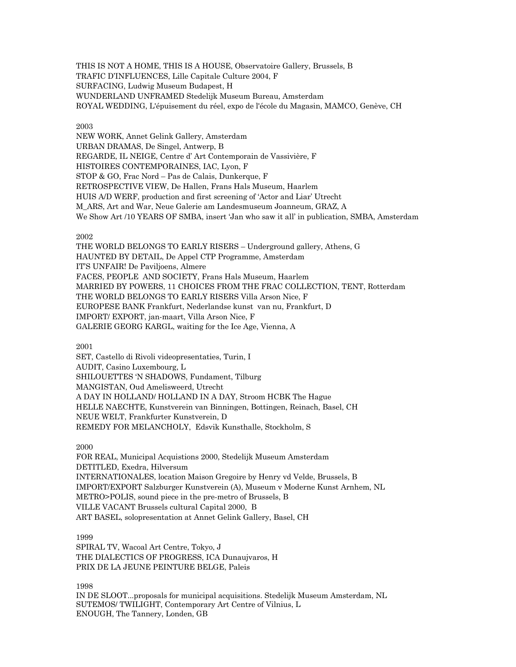THIS IS NOT A HOME, THIS IS A HOUSE, Observatoire Gallery, Brussels, B TRAFIC D'INFLUENCES, Lille Capitale Culture 2004, F SURFACING, Ludwig Museum Budapest, H WUNDERLAND UNFRAMED Stedelijk Museum Bureau, Amsterdam ROYAL WEDDING, L'épuisement du réel, expo de l'école du Magasin, MAMCO, Genève, CH

### 2003

NEW WORK, Annet Gelink Gallery, Amsterdam URBAN DRAMAS, De Singel, Antwerp, B REGARDE, IL NEIGE, Centre d' Art Contemporain de Vassivière, F HISTOIRES CONTEMPORAINES, IAC, Lyon, F STOP & GO, Frac Nord – Pas de Calais, Dunkerque, F RETROSPECTIVE VIEW, De Hallen, Frans Hals Museum, Haarlem HUIS A/D WERF, production and first screening of 'Actor and Liar' Utrecht M\_ARS, Art and War, Neue Galerie am Landesmuseum Joanneum, GRAZ, A We Show Art /10 YEARS OF SMBA, insert 'Jan who saw it all' in publication, SMBA, Amsterdam

# 2002

THE WORLD BELONGS TO EARLY RISERS – Underground gallery, Athens, G HAUNTED BY DETAIL, De Appel CTP Programme, Amsterdam IT'S UNFAIR! De Paviljoens, Almere FACES, PEOPLE AND SOCIETY, Frans Hals Museum, Haarlem MARRIED BY POWERS, 11 CHOICES FROM THE FRAC COLLECTION, TENT, Rotterdam THE WORLD BELONGS TO EARLY RISERS Villa Arson Nice, F EUROPESE BANK Frankfurt, Nederlandse kunst van nu, Frankfurt, D IMPORT/ EXPORT, jan-maart, Villa Arson Nice, F GALERIE GEORG KARGL, waiting for the Ice Age, Vienna, A

# 2001

SET, Castello di Rivoli videopresentaties, Turin, I AUDIT, Casino Luxembourg, L SHILOUETTES 'N SHADOWS, Fundament, Tilburg MANGISTAN, Oud Amelisweerd, Utrecht A DAY IN HOLLAND/ HOLLAND IN A DAY, Stroom HCBK The Hague HELLE NAECHTE, Kunstverein van Binningen, Bottingen, Reinach, Basel, CH NEUE WELT, Frankfurter Kunstverein, D REMEDY FOR MELANCHOLY, Edsvik Kunsthalle, Stockholm, S

### 2000

FOR REAL, Municipal Acquistions 2000, Stedelijk Museum Amsterdam DETITLED, Exedra, Hilversum INTERNATIONALES, location Maison Gregoire by Henry vd Velde, Brussels, B IMPORT/EXPORT Salzburger Kunstverein (A), Museum v Moderne Kunst Arnhem, NL METRO>POLIS, sound piece in the pre-metro of Brussels, B VILLE VACANT Brussels cultural Capital 2000, B ART BASEL, solopresentation at Annet Gelink Gallery, Basel, CH

# 1999

SPIRAL TV, Wacoal Art Centre, Tokyo, J THE DIALECTICS OF PROGRESS, ICA Dunaujvaros, H PRIX DE LA JEUNE PEINTURE BELGE, Paleis

1998

IN DE SLOOT...proposals for municipal acquisitions. Stedelijk Museum Amsterdam, NL SUTEMOS/ TWILIGHT, Contemporary Art Centre of Vilnius, L ENOUGH, The Tannery, Londen, GB